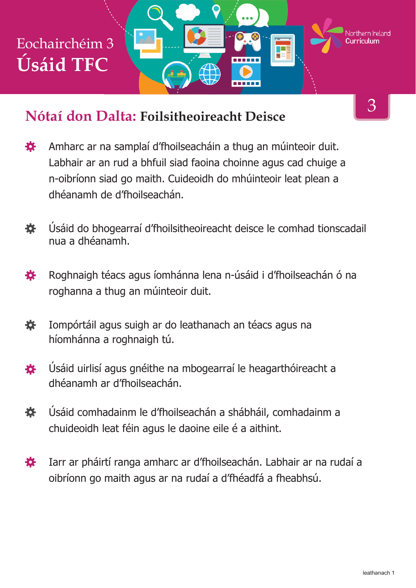#### **Nótaí don Dalta: Foilsitheoireacht Deisce**

- 寮 Amharc ar na samplaí d'fhoilseacháin a thug an múinteoir duit. Labhair ar an rud a bhfuil siad faoina choinne agus cad chuige a n-oibríonn siad go maith. Cuideoidh do mhúinteoir leat plean a dhéanamh de d'fhoilseachán.
- Úsáid do bhogearraí d'fhoilsitheoireacht deisce le comhad tionscadail 春 nua a dhéanamh.
- Roghnaigh téacs agus íomhánna lena n-úsáid i d'fhoilseachán ó na 養 roghanna a thug an múinteoir duit.
- 養 Iompórtáil agus suigh ar do leathanach an téacs agus na híomhánna a roghnaigh tú.
- Úsáid uirlisí agus gnéithe na mbogearraí le heagarthóireacht a 娄 dhéanamh ar d'fhoilseachán.
- 娄 Úsáid comhadainm le d'fhoilseachán a shábháil, comhadainm a chuideoidh leat féin agus le daoine eile é a aithint.
- 奁 Iarr ar pháirtí ranga amharc ar d'fhoilseachán. Labhair ar na rudaí a oibríonn go maith agus ar na rudaí a d'fhéadfá a fheabhsú.

3

Northern Ireland

TE 5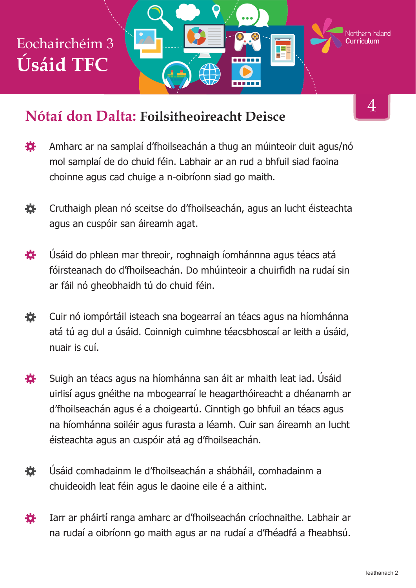#### **Nótaí don Dalta: Foilsitheoireacht Deisce**

- Amharc ar na samplaí d'fhoilseachán a thug an múinteoir duit agus/nó 娄 mol samplaí de do chuid féin. Labhair ar an rud a bhfuil siad faoina choinne agus cad chuige a n-oibríonn siad go maith.
- 養 Cruthaigh plean nó sceitse do d'fhoilseachán, agus an lucht éisteachta agus an cuspóir san áireamh agat.
- Úsáid do phlean mar threoir, roghnaigh íomhánnna agus téacs atá 娄 fóirsteanach do d'fhoilseachán. Do mhúinteoir a chuirfidh na rudaí sin ar fáil nó gheobhaidh tú do chuid féin.
- 養 Cuir nó iompórtáil isteach sna bogearraí an téacs agus na híomhánna atá tú ag dul a úsáid. Coinnigh cuimhne téacsbhoscaí ar leith a úsáid, nuair is cuí.
- 娄 Suigh an téacs agus na híomhánna san áit ar mhaith leat iad. Úsáid uirlisí agus gnéithe na mbogearraí le heagarthóireacht a dhéanamh ar d'fhoilseachán agus é a choigeartú. Cinntigh go bhfuil an téacs agus na híomhánna soiléir agus furasta a léamh. Cuir san áireamh an lucht éisteachta agus an cuspóir atá ag d'fhoilseachán.
- Úsáid comhadainm le d'fhoilseachán a shábháil, comhadainm a 各 chuideoidh leat féin agus le daoine eile é a aithint.
- Iarr ar pháirtí ranga amharc ar d'fhoilseachán críochnaithe. Labhair ar 苍 na rudaí a oibríonn go maith agus ar na rudaí a d'fhéadfá a fheabhsú.

4

Northern Ireland

Ŧ

an ba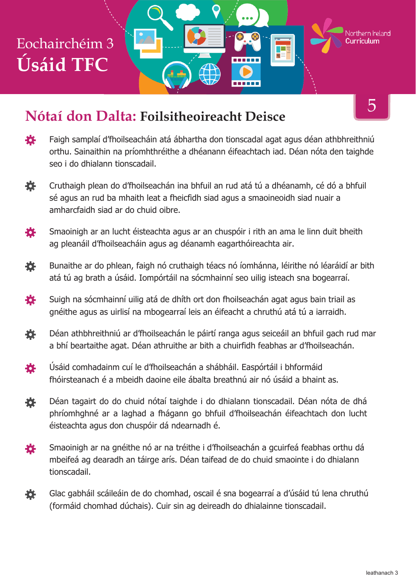#### **Nótaí don Dalta: Foilsitheoireacht Deisce**

- 養 Faigh samplaí d'fhoilseacháin atá ábhartha don tionscadal agat agus déan athbhreithniú orthu. Sainaithin na príomhthréithe a dhéanann éifeachtach iad. Déan nóta den taighde seo i do dhialann tionscadail.
- 寮 Cruthaigh plean do d'fhoilseachán ina bhfuil an rud atá tú a dhéanamh, cé dó a bhfuil sé agus an rud ba mhaith leat a fheicfidh siad agus a smaoineoidh siad nuair a amharcfaidh siad ar do chuid oibre.
- Smaoinigh ar an lucht éisteachta agus ar an chuspóir i rith an ama le linn duit bheith 娄 ag pleanáil d'fhoilseacháin agus ag déanamh eagarthóireachta air.
- 養 Bunaithe ar do phlean, faigh nó cruthaigh téacs nó íomhánna, léirithe nó léaráidí ar bith atá tú ag brath a úsáid. Iompórtáil na sócmhainní seo uilig isteach sna bogearraí.
- ₩. Suigh na sócmhainní uilig atá de dhíth ort don fhoilseachán agat agus bain triail as gnéithe agus as uirlisí na mbogearraí leis an éifeacht a chruthú atá tú a iarraidh.
- 飬 Déan athbhreithniú ar d'fhoilseachán le páirtí ranga agus seiceáil an bhfuil gach rud mar a bhí beartaithe agat. Déan athruithe ar bith a chuirfidh feabhas ar d'fhoilseachán.
- 養 Úsáid comhadainm cuí le d'fhoilseachán a shábháil. Easpórtáil i bhformáid fhóirsteanach é a mbeidh daoine eile ábalta breathnú air nó úsáid a bhaint as.
- Déan tagairt do do chuid nótaí taighde i do dhialann tionscadail. Déan nóta de dhá 娄 phríomhghné ar a laghad a fhágann go bhfuil d'fhoilseachán éifeachtach don lucht éisteachta agus don chuspóir dá ndearnadh é.
- Smaoinigh ar na gnéithe nó ar na tréithe i d'fhoilseachán a gcuirfeá feabhas orthu dá 娄 mbeifeá ag dearadh an táirge arís. Déan taifead de do chuid smaointe i do dhialann tionscadail.
- Glac gabháil scáileáin de do chomhad, oscail é sna bogearraí a d'úsáid tú lena chruthú 娄 (formáid chomhad dúchais). Cuir sin ag deireadh do dhialainne tionscadail.

5

Northern Ireland

TE.

------